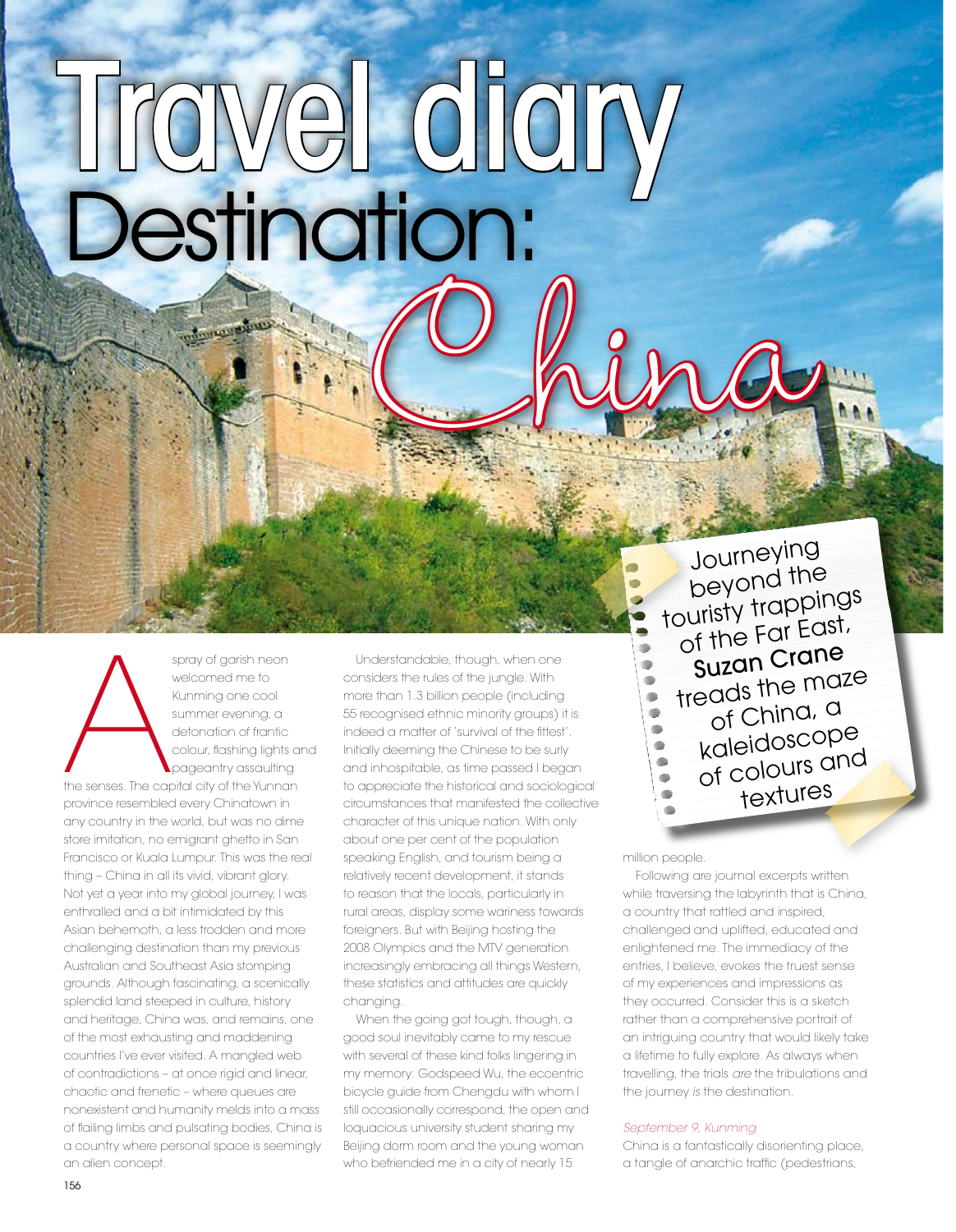# Destination: Travel diary Ohina,

spray of garish neon<br>welcomed me to<br>Kunming one cool<br>summer evening, a<br>detonation of frantic<br>colour, flashing lights<br>the senses. The capital city of the Yunnai<br>province resembled every Chinatown in welcomed me to Kunming one cool summer evening, a detonation of frantic colour, flashing lights and pageantry assaulting

the senses. The capital city of the Yunnan province resembled every Chinatown in any country in the world, but was no dime store imitation, no emigrant ghetto in San Francisco or Kuala Lumpur. This was the real thing – China in all its vivid, vibrant glory. Not yet a year into my global journey, I was enthralled and a bit intimidated by this Asian behemoth, a less trodden and more challenging destination than my previous Australian and Southeast Asia stomping grounds. Although fascinating, a scenically splendid land steeped in culture, history and heritage, China was, and remains, one of the most exhausting and maddening countries I've ever visited. A mangled web of contradictions – at once rigid and linear, chaotic and frenetic – where queues are nonexistent and humanity melds into a mass of flailing limbs and pulsating bodies, China is a country where personal space is seemingly an alien concept.

Understandable, though, when one considers the rules of the jungle. With more than 1.3 billion people (including 55 recognised ethnic minority groups) it is indeed a matter of 'survival of the fittest'. Initially deeming the Chinese to be surly and inhospitable, as time passed I began to appreciate the historical and sociological circumstances that manifested the collective character of this unique nation. With only about one per cent of the population speaking English, and tourism being a relatively recent development, it stands to reason that the locals, particularly in rural areas, display some wariness towards foreigners. But with Beijing hosting the 2008 Olympics and the MTV generation increasingly embracing all things Western, these statistics and attitudes are quickly changing.

When the going got tough, though, a good soul inevitably came to my rescue with several of these kind folks lingering in my memory: Godspeed Wu, the eccentric bicycle guide from Chengdu with whom I still occasionally correspond, the open and loquacious university student sharing my Beijing dorm room and the young woman who befriended me in a city of nearly 15

Journeying beyond the touristy trappings of the Far East, Suzan Crane treads the maze of China, a kaleidoscope of colours an<sup>d</sup> textures

#### million people.

Following are journal excerpts written while traversing the labyrinth that is China, a country that rattled and inspired, challenged and uplifted, educated and enlightened me. The immediacy of the entries, I believe, evokes the truest sense of my experiences and impressions as they occurred. Consider this is a sketch rather than a comprehensive portrait of an intriguing country that would likely take a lifetime to fully explore. As always when travelling, the trials *are* the tribulations and the journey *is* the destination.

#### *September 9, Kunming*

China is a fantastically disorienting place, a tangle of anarchic traffic (pedestrians,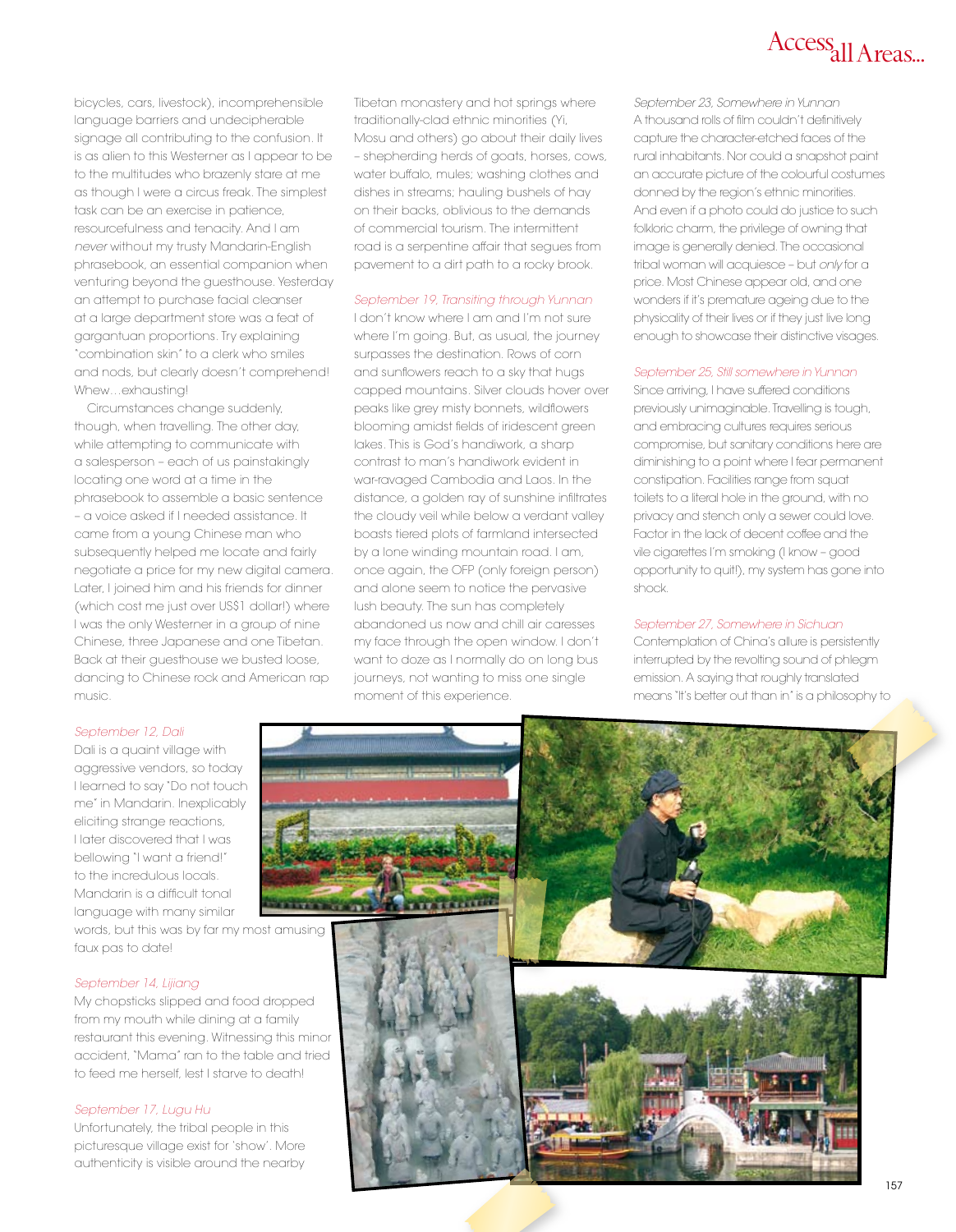

bicycles, cars, livestock), incomprehensible language barriers and undecipherable signage all contributing to the confusion. It is as alien to this Westerner as I appear to be to the multitudes who brazenly stare at me as though I were a circus freak. The simplest task can be an exercise in patience, resourcefulness and tenacity. And I am *never* without my trusty Mandarin-English phrasebook, an essential companion when venturing beyond the guesthouse. Yesterday an attempt to purchase facial cleanser at a large department store was a feat of gargantuan proportions. Try explaining "combination skin" to a clerk who smiles and nods, but clearly doesn't comprehend! Whew…exhausting!

Circumstances change suddenly, though, when travelling. The other day, while attempting to communicate with a salesperson – each of us painstakingly locating one word at a time in the phrasebook to assemble a basic sentence – a voice asked if I needed assistance. It came from a young Chinese man who subsequently helped me locate and fairly negotiate a price for my new digital camera. Later, I joined him and his friends for dinner (which cost me just over US\$1 dollar!) where I was the only Westerner in a group of nine Chinese, three Japanese and one Tibetan. Back at their guesthouse we busted loose, dancing to Chinese rock and American rap music.

Tibetan monastery and hot springs where traditionally-clad ethnic minorities (Yi, Mosu and others) go about their daily lives – shepherding herds of goats, horses, cows, water buffalo, mules; washing clothes and dishes in streams; hauling bushels of hay on their backs, oblivious to the demands of commercial tourism. The intermittent road is a serpentine affair that segues from pavement to a dirt path to a rocky brook.

#### *September 19, Transiting through Yunnan*

I don't know where I am and I'm not sure where I'm going. But, as usual, the journey surpasses the destination. Rows of corn and sunflowers reach to a sky that hugs capped mountains. Silver clouds hover over peaks like grey misty bonnets, wildflowers blooming amidst fields of iridescent green lakes. This is God's handiwork, a sharp contrast to man's handiwork evident in war-ravaged Cambodia and Laos. In the distance, a golden ray of sunshine infiltrates the cloudy veil while below a verdant valley boasts tiered plots of farmland intersected by a lone winding mountain road. I am, once again, the OFP (only foreign person) and alone seem to notice the pervasive lush beauty. The sun has completely abandoned us now and chill air caresses my face through the open window. I don't want to doze as I normally do on long bus journeys, not wanting to miss one single moment of this experience.

*September 23, Somewhere in Yunnan* A thousand rolls of film couldn't definitively capture the character-etched faces of the rural inhabitants. Nor could a snapshot paint an accurate picture of the colourful costumes donned by the region's ethnic minorities. And even if a photo could do justice to such folkloric charm, the privilege of owning that image is generally denied. The occasional tribal woman will acquiesce – but *only* for a price. Most Chinese appear old, and one wonders if it's premature ageing due to the physicality of their lives or if they just live long enough to showcase their distinctive visages.

#### *September 25, Still somewhere in Yunnan*

Since arriving, I have suffered conditions previously unimaginable. Travelling is tough, and embracing cultures requires serious compromise, but sanitary conditions here are diminishing to a point where I fear permanent constipation. Facilities range from squat toilets to a literal hole in the ground, with no privacy and stench only a sewer could love. Factor in the lack of decent coffee and the vile cigarettes I'm smoking (I know – good opportunity to quit!), my system has gone into shock.

#### *September 27, Somewhere in Sichuan*

Contemplation of China's allure is persistently interrupted by the revolting sound of phlegm emission. A saying that roughly translated means "It's better out than in" is a philosophy to

#### *September 12, Dali*

Dali is a quaint village with aggressive vendors, so today I learned to say "Do not touch me" in Mandarin. Inexplicably eliciting strange reactions, I later discovered that I was bellowing "I want a friend!" to the incredulous locals. Mandarin is a difficult tonal language with many similar

words, but this was by far my most amusing faux pas to date!

#### *September 14, Lijiang*

My chopsticks slipped and food dropped from my mouth while dining at a family restaurant this evening. Witnessing this minor accident, "Mama" ran to the table and tried to feed me herself, lest I starve to death!

#### *September 17, Lugu Hu*

Unfortunately, the tribal people in this picturesque village exist for 'show'. More authenticity is visible around the nearby